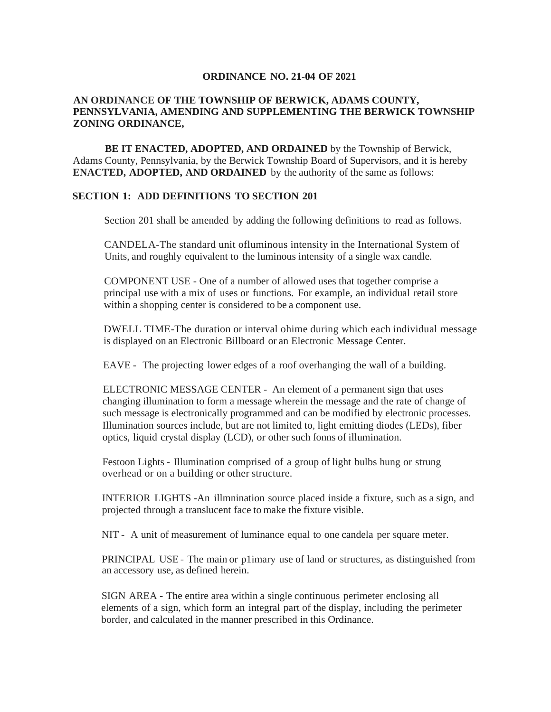### **ORDINANCE NO. 21-04 OF 2021**

### **AN ORDINANCE OF THE TOWNSHIP OF BERWICK, ADAMS COUNTY, PENNSYLVANIA, AMENDING AND SUPPLEMENTING THE BERWICK TOWNSHIP ZONING ORDINANCE,**

**BE IT ENACTED, ADOPTED, AND ORDAINED** by the Township of Berwick, Adams County, Pennsylvania, by the Berwick Township Board of Supervisors, and it is hereby **ENACTED, ADOPTED, AND ORDAINED** by the authority of the same as follows:

### **SECTION 1: ADD DEFINITIONS TO SECTION 201**

Section 201 shall be amended by adding the following definitions to read as follows.

CANDELA-The standard unit ofluminous intensity in the International System of Units, and roughly equivalent to the luminous intensity of a single wax candle.

COMPONENT USE - One of a number of allowed uses that together comprise a principal use with a mix of uses or functions. For example, an individual retail store within a shopping center is considered to be a component use.

DWELL TIME-The duration or interval ohime during which each individual message is displayed on an Electronic Billboard or an Electronic Message Center.

EAVE - The projecting lower edges of a roof overhanging the wall of a building.

ELECTRONIC MESSAGE CENTER - An element of a permanent sign that uses changing illumination to form a message wherein the message and the rate of change of such message is electronically programmed and can be modified by electronic processes. Illumination sources include, but are not limited to, light emitting diodes (LEDs), fiber optics, liquid crystal display (LCD), or other such fonns of illumination.

Festoon Lights - Illumination comprised of a group of light bulbs hung or strung overhead or on a building or other structure.

INTERIOR LIGHTS -An illmnination source placed inside a fixture, such as a sign, and projected through a translucent face to make the fixture visible.

NIT - A unit of measurement of luminance equal to one candela per square meter.

PRINCIPAL USE - The main or p1imary use of land or structures, as distinguished from an accessory use, as defined herein.

SIGN AREA - The entire area within a single continuous perimeter enclosing all elements of a sign, which form an integral part of the display, including the perimeter border, and calculated in the manner prescribed in this Ordinance.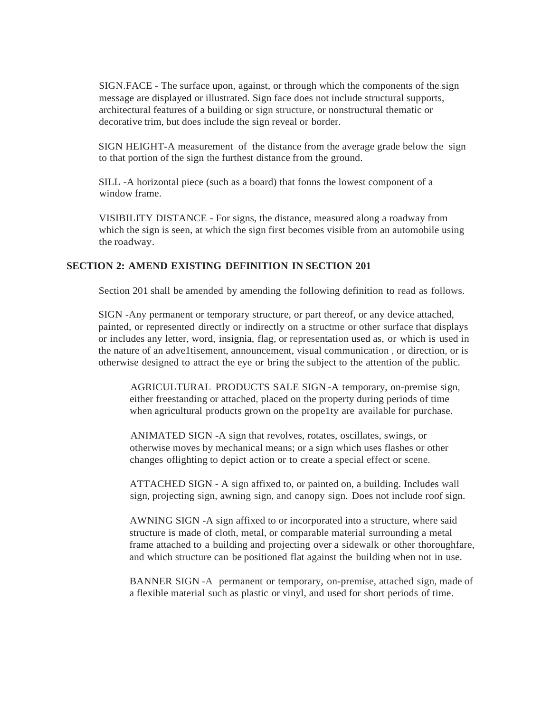SIGN.FACE - The surface upon, against, or through which the components of the.sign message are displayed or illustrated. Sign face does not include structural supports, architectural features of a building or sign structure, or nonstructural thematic or decorative trim, but does include the sign reveal or border.

SIGN HEIGHT-A measurement of the distance from the average grade below the sign to that portion of the sign the furthest distance from the ground.

SILL -A horizontal piece (such as a board) that fonns the lowest component of a window frame.

VISIBILITY DISTANCE - For signs, the distance, measured along a roadway from which the sign is seen, at which the sign first becomes visible from an automobile using the roadway.

### **SECTION 2: AMEND EXISTING DEFINITION IN SECTION 201**

Section 201 shall be amended by amending the following definition to read as follows.

SIGN -Any permanent or temporary structure, or part thereof, or any device attached, painted, or represented directly or indirectly on a structme or other surface that displays or includes any letter, word, insignia, flag, or representation used as, or which is used in the nature of an adve1tisement, announcement, visual communication , or direction, or is otherwise designed to attract the eye or bring the subject to the attention of the public.

AGRICULTURAL PRODUCTS SALE SIGN -A temporary, on-premise sign, either freestanding or attached, placed on the property during periods of time when agricultural products grown on the prope1ty are available for purchase.

ANIMATED SIGN -A sign that revolves, rotates, oscillates, swings, or otherwise moves by mechanical means; or a sign which uses flashes or other changes oflighting to depict action or to create a special effect or scene.

ATTACHED SIGN - A sign affixed to, or painted on, a building. Includes wall sign, projecting sign, awning sign, and canopy sign. Does not include roof sign.

AWNING SIGN -A sign affixed to or incorporated into a structure, where said structure is made of cloth, metal, or comparable material surrounding a metal frame attached to a building and projecting over a sidewalk or other thoroughfare, and which structure can be positioned flat against the building when not in use.

BANNER SIGN -A permanent or temporary, on-premise, attached sign, made of a flexible material such as plastic or vinyl, and used for short periods of time.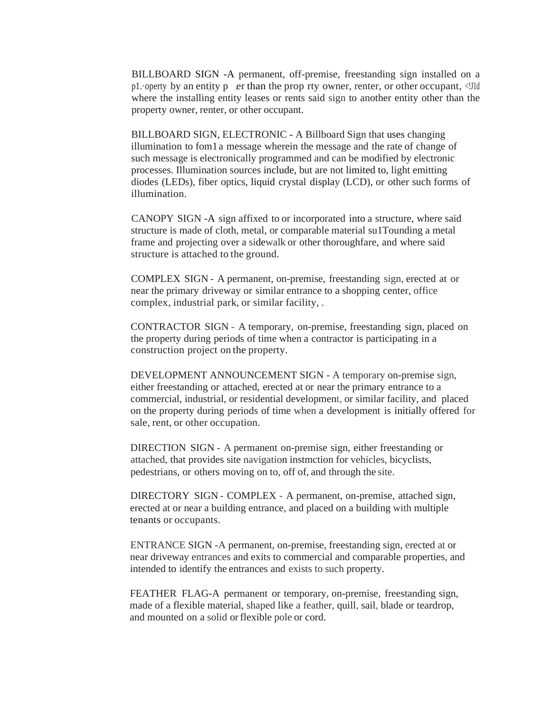BILLBOARD SIGN -A permanent, off-premise, freestanding sign installed on a p1. operty by an entity p , er than the prop rty owner, renter, or other occupant,  $\langle \cdot \cdot \cdot \cdot \rangle$ where the installing entity leases or rents said sign to another entity other than the property owner, renter, or other occupant.

BILLBOARD SIGN, ELECTRONIC - A Billboard Sign that uses changing illumination to fom1 a message wherein the message and the rate of change of such message is electronically programmed and can be modified by electronic processes. Illumination sources include, but are not limited to, light emitting diodes (LEDs), fiber optics, liquid crystal display (LCD), or other such forms of illumination.

CANOPY SIGN -A sign affixed to or incorporated into a structure, where said structure is made of cloth, metal, or comparable material su1Tounding a metal frame and projecting over a sidewalk or other thoroughfare, and where said structure is attached to the ground.

COMPLEX SIGN - A permanent, on-premise, freestanding sign, erected at or near the primary driveway or similar entrance to a shopping center, office complex, industrial park, or similar facility, .

CONTRACTOR SIGN - A temporary, on-premise, freestanding sign, placed on the property during periods of time when a contractor is participating in a construction project on the property.

DEVELOPMENT ANNOUNCEMENT SIGN - A temporary on-premise sign, either freestanding or attached, erected at or near the primary entrance to a commercial, industrial, or residential development, or similar facility, and placed on the property during periods of time when a development is initially offered for sale, rent, or other occupation.

DIRECTION SIGN - A permanent on-premise sign, either freestanding or attached, that provides site navigation instmction for vehicles, bicyclists, pedestrians, or others moving on to, off of, and through the site.

DIRECTORY SIGN - COMPLEX - A permanent, on-premise, attached sign, erected at or near a building entrance, and placed on a building with multiple tenants or occupants.

ENTRANCE SIGN -A permanent, on-premise, freestanding sign, erected at or near driveway entrances and exits to commercial and comparable properties, and intended to identify the entrances and exists to such property.

FEATHER FLAG-A permanent or temporary, on-premise, freestanding sign, made of a flexible material, shaped like a feather, quill, sail, blade or teardrop, and mounted on a solid or flexible pole or cord.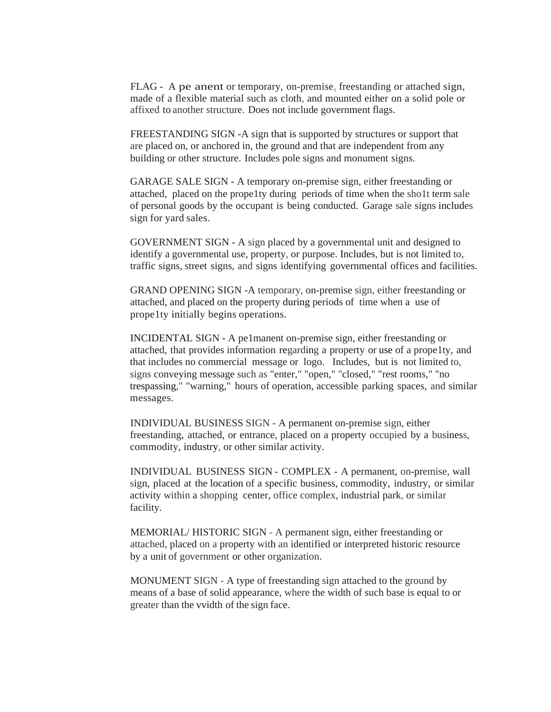FLAG - A pe anent or temporary, on-premise, freestanding or attached sign, made of a flexible material such as cloth, and mounted either on a solid pole or affixed to another structure. Does not include government flags.

FREESTANDING SIGN -A sign that is supported by structures or support that are placed on, or anchored in, the ground and that are independent from any building or other structure. Includes pole signs and monument signs.

GARAGE SALE SIGN - A temporary on-premise sign, either freestanding or attached, placed on the prope1ty during periods of time when the sho1t term sale of personal goods by the occupant is being conducted. Garage sale signs includes sign for yard sales.

GOVERNMENT SIGN - A sign placed by a governmental unit and designed to identify a governmental use, property, or purpose. Includes, but is not limited to, traffic signs, street signs, and signs identifying governmental offices and facilities.

GRAND OPENING SIGN -A temporary, on-premise sign, either freestanding or attached, and placed on the property during periods of time when a use of prope1ty initially begins operations.

INCIDENTAL SIGN - A pe1manent on-premise sign, either freestanding or attached, that provides information regarding a property or use of a prope1ty, and that includes no commercial message or logo. Includes, but is not limited to, signs conveying message such as "enter," "open," "closed," "rest rooms," "no trespassing," "warning," hours of operation, accessible parking spaces, and similar messages.

INDIVIDUAL BUSINESS SIGN - A permanent on-premise sign, either freestanding, attached, or entrance, placed on a property occupied by a business, commodity, industry, or other similar activity.

INDIVIDUAL BUSINESS SIGN - COMPLEX - A permanent, on-premise, wall sign, placed at the location of a specific business, commodity, industry, or similar activity within a shopping center, office complex, industrial park, or similar facility.

MEMORIAL/ HISTORIC SIGN - A permanent sign, either freestanding or attached, placed on a property with an identified or interpreted historic resource by a unit of government or other organization.

MONUMENT SIGN - A type of freestanding sign attached to the ground by means of a base of solid appearance, where the width of such base is equal to or greater than the vvidth of the sign face.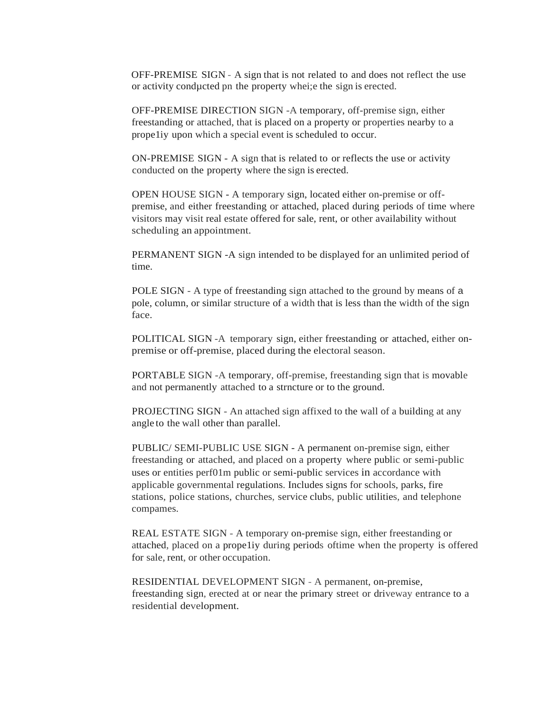OFF-PREMISE SIGN - A sign that is not related to and does not reflect the use or activity condµcted pn the property whei;e the sign is erected.

OFF-PREMISE DIRECTION SIGN -A temporary, off-premise sign, either freestanding or attached, that is placed on a property or properties nearby to a prope1iy upon which a special event is scheduled to occur.

ON-PREMISE SIGN - A sign that is related to or reflects the use or activity conducted on the property where the sign is erected.

OPEN HOUSE SIGN - A temporary sign, located either on-premise or offpremise, and either freestanding or attached, placed during periods of time where visitors may visit real estate offered for sale, rent, or other availability without scheduling an appointment.

PERMANENT SIGN -A sign intended to be displayed for an unlimited period of time.

POLE SIGN - A type of freestanding sign attached to the ground by means of a pole, column, or similar structure of a width that is less than the width of the sign face.

POLITICAL SIGN -A temporary sign, either freestanding or attached, either onpremise or off-premise, placed during the electoral season.

PORTABLE SIGN -A temporary, off-premise, freestanding sign that is movable and not permanently attached to a strncture or to the ground.

PROJECTING SIGN - An attached sign affixed to the wall of a building at any angle to the wall other than parallel.

PUBLIC/ SEMI-PUBLIC USE SIGN - A permanent on-premise sign, either freestanding or attached, and placed on a property where public or semi-public uses or entities perf01m public or semi-public services in accordance with applicable governmental regulations. Includes signs for schools, parks, fire stations, police stations, churches, service clubs, public utilities, and telephone compames.

REAL ESTATE SIGN - A temporary on-premise sign, either freestanding or attached, placed on a prope1iy during periods oftime when the property is offered for sale, rent, or other occupation.

RESIDENTIAL DEVELOPMENT SIGN - A permanent, on-premise, freestanding sign, erected at or near the primary street or driveway entrance to a residential development.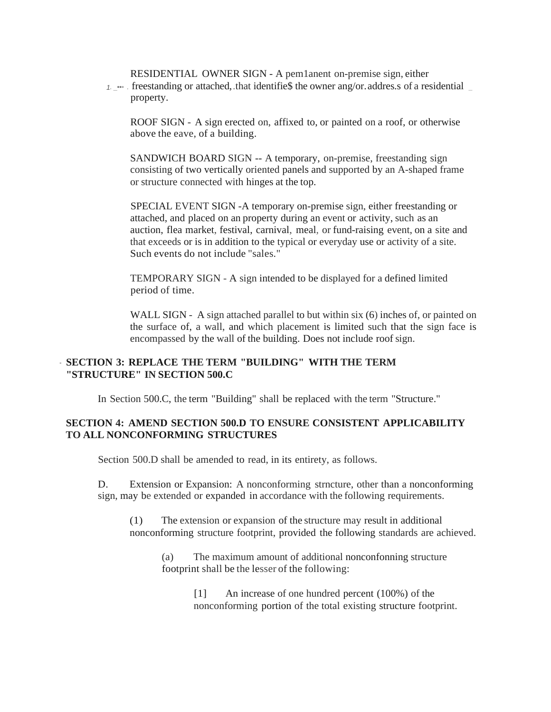RESIDENTIAL OWNER SIGN - A pem1anent on-premise sign, either

1.  $\rightarrow \bullet$  . freestanding or attached, that identifies the owner ang/or. addres.s of a residential property.

ROOF SIGN - A sign erected on, affixed to, or painted on a roof, or otherwise above the eave, of a building.

SANDWICH BOARD SIGN -- A temporary, on-premise, freestanding sign consisting of two vertically oriented panels and supported by an A-shaped frame or structure connected with hinges at the top.

SPECIAL EVENT SIGN -A temporary on-premise sign, either freestanding or attached, and placed on an property during an event or activity, such as an auction, flea market, festival, carnival, meal, or fund-raising event, on a site and that exceeds or is in addition to the typical or everyday use or activity of a site. Such events do not include "sales."

TEMPORARY SIGN - A sign intended to be displayed for a defined limited period of time.

WALL SIGN - A sign attached parallel to but within six (6) inches of, or painted on the surface of, a wall, and which placement is limited such that the sign face is encompassed by the wall of the building. Does not include roof sign.

## - **SECTION 3: REPLACE THE TERM "BUILDING" WITH THE TERM "STRUCTURE" IN SECTION 500.C**

In Section 500.C, the term "Building" shall be replaced with the term "Structure."

# **SECTION 4: AMEND SECTION 500.D TO ENSURE CONSISTENT APPLICABILITY TO ALL NONCONFORMING STRUCTURES**

Section 500.D shall be amended to read, in its entirety, as follows.

D. Extension or Expansion: A nonconforming strncture, other than a nonconforming sign, may be extended or expanded in accordance with the following requirements.

(1) The extension or expansion of the structure may result in additional nonconforming structure footprint, provided the following standards are achieved.

(a) The maximum amount of additional nonconfonning structure footprint shall be the lesser of the following:

> [1] An increase of one hundred percent (100%) of the nonconforming portion of the total existing structure footprint.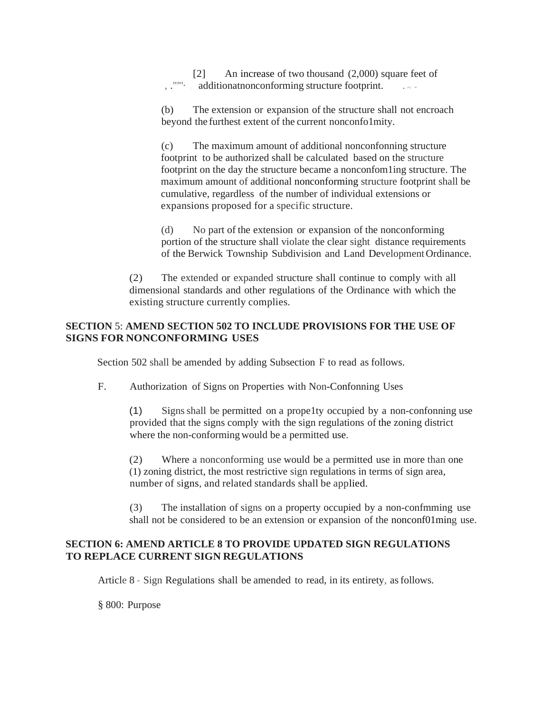[2] An increase of two thousand (2,000) square feet of  $\ldots$  additionat nonconforming structure footprint.

(b) The extension or expansion of the structure shall not encroach beyond the furthest extent of the current nonconfo1mity.

(c) The maximum amount of additional nonconfonning structure footprint to be authorized shall be calculated based on the structure footprint on the day the structure became a nonconfom1ing structure. The maximum amount of additional nonconforming structure footprint shall be cumulative, regardless of the number of individual extensions or expansions proposed for a specific structure.

(d) No part of the extension or expansion of the nonconforming portion of the structure shall violate the clear sight distance requirements of the Berwick Township Subdivision and Land Development Ordinance.

(2) The extended or expanded structure shall continue to comply with all dimensional standards and other regulations of the Ordinance with which the existing structure currently complies.

# **SECTION** 5: **AMEND SECTION 502 TO INCLUDE PROVISIONS FOR THE USE OF SIGNS FOR NONCONFORMING USES**

Section 502 shall be amended by adding Subsection F to read as follows.

F. Authorization of Signs on Properties with Non-Confonning Uses

(1) Signs shall be permitted on a prope1ty occupied by a non-confonning use provided that the signs comply with the sign regulations of the zoning district where the non-conforming would be a permitted use.

(2) Where a nonconforming use would be a permitted use in more than one (1) zoning district, the most restrictive sign regulations in terms of sign area, number of signs, and related standards shall be applied.

(3) The installation of signs on a property occupied by a non-confmming use shall not be considered to be an extension or expansion of the nonconf01ming use.

# **SECTION 6: AMEND ARTICLE 8 TO PROVIDE UPDATED SIGN REGULATIONS TO REPLACE CURRENT SIGN REGULATIONS**

Article 8 - Sign Regulations shall be amended to read, in its entirety, as follows.

§ 800: Purpose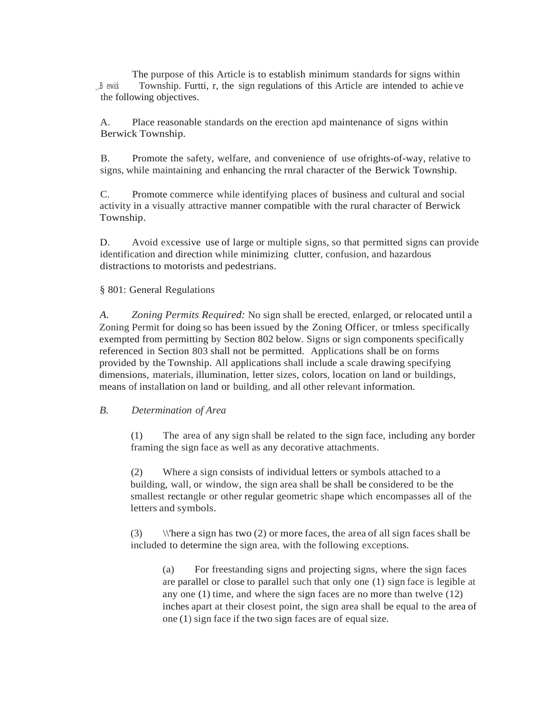The purpose of this Article is to establish minimum standards for signs within \_.,B erwick Township. Furtti, r, the sign regulations of this Article are intended to achie ve the following objectives.

A. Place reasonable standards on the erection apd maintenance of signs within Berwick Township.

B. Promote the safety, welfare, and convenience of use ofrights-of-way, relative to signs, while maintaining and enhancing the rnral character of the Berwick Township.

C. Promote commerce while identifying places of business and cultural and social activity in a visually attractive manner compatible with the rural character of Berwick Township.

D. Avoid excessive use of large or multiple signs, so that permitted signs can provide identification and direction while minimizing clutter, confusion, and hazardous distractions to motorists and pedestrians.

§ 801: General Regulations

*A. Zoning Permits Required:* No sign shall be erected, enlarged, or relocated until a Zoning Permit for doing so has been issued by the Zoning Officer, or tmless specifically exempted from permitting by Section 802 below. Signs or sign components specifically referenced in Section 803 shall not be permitted. Applications shall be on forms provided by the Township. All applications shall include a scale drawing specifying dimensions, materials, illumination, letter sizes, colors, location on land or buildings, means of installation on land or building, and all other relevant information.

### *B. Determination of Area*

(1) The area of any sign shall be related to the sign face, including any border framing the sign face as well as any decorative attachments.

(2) Where a sign consists of individual letters or symbols attached to a building, wall, or window, the sign area shall be shall be considered to be the smallest rectangle or other regular geometric shape which encompasses all of the letters and symbols.

(3)  $\|\text{there a sign has two (2) or more faces, the area of all sign faces shall be.}$ included to determine the sign area, with the following exceptions.

(a) For freestanding signs and projecting signs, where the sign faces are parallel or close to parallel such that only one (1) sign face is legible at any one (1) time, and where the sign faces are no more than twelve (12) inches apart at their closest point, the sign area shall be equal to the area of one (1) sign face if the two sign faces are of equal size.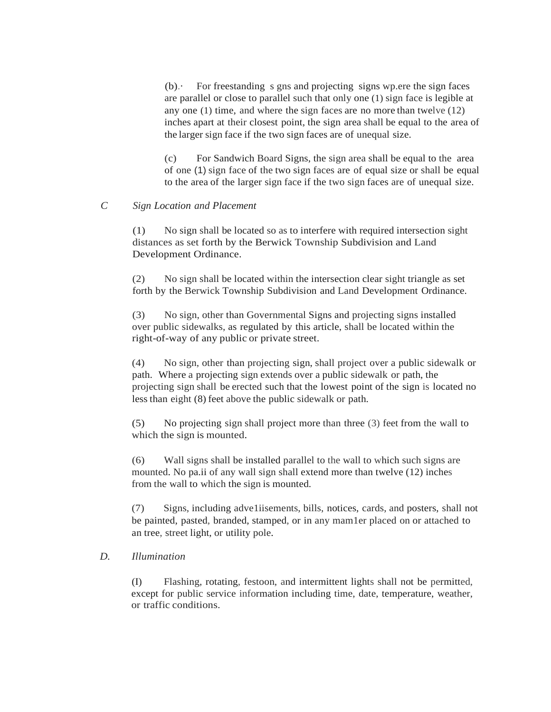$(b)$ . For freestanding s gns and projecting signs wp.ere the sign faces are parallel or close to parallel such that only one (1) sign face is legible at any one (1) time, and where the sign faces are no more than twelve (12) inches apart at their closest point, the sign area shall be equal to the area of the larger sign face if the two sign faces are of unequal size.

(c) For Sandwich Board Signs, the sign area shall be equal to the area of one (1) sign face of the two sign faces are of equal size or shall be equal to the area of the larger sign face if the two sign faces are of unequal size.

### *C Sign Location and Placement*

(1) No sign shall be located so as to interfere with required intersection sight distances as set forth by the Berwick Township Subdivision and Land Development Ordinance.

(2) No sign shall be located within the intersection clear sight triangle as set forth by the Berwick Township Subdivision and Land Development Ordinance.

(3) No sign, other than Governmental Signs and projecting signs installed over public sidewalks, as regulated by this article, shall be located within the right-of-way of any public or private street.

(4) No sign, other than projecting sign, shall project over a public sidewalk or path. Where a projecting sign extends over a public sidewalk or path, the projecting sign shall be erected such that the lowest point of the sign is located no less than eight (8) feet above the public sidewalk or path.

(5) No projecting sign shall project more than three (3) feet from the wall to which the sign is mounted.

(6) Wall signs shall be installed parallel to the wall to which such signs are mounted. No pa.ii of any wall sign shall extend more than twelve (12) inches from the wall to which the sign is mounted.

(7) Signs, including adve1iisements, bills, notices, cards, and posters, shall not be painted, pasted, branded, stamped, or in any mam1er placed on or attached to an tree, street light, or utility pole.

### *D. Illumination*

(I) Flashing, rotating, festoon, and intermittent lights shall not be permitted, except for public service information including time, date, temperature, weather, or traffic conditions.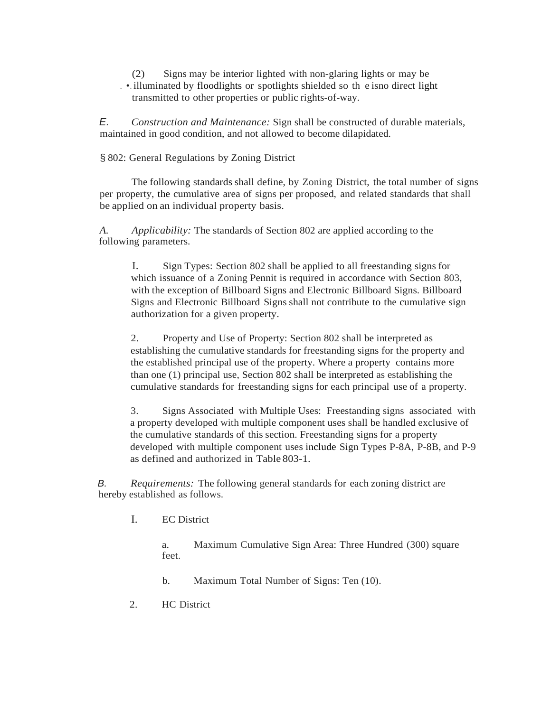(2) Signs may be interior lighted with non-glaring lights or may be . •. illuminated by floodlights or spotlights shielded so th e isno direct light transmitted to other properties or public rights-of-way.

*E. Construction and Maintenance:* Sign shall be constructed of durable materials, maintained in good condition, and not allowed to become dilapidated.

### § 802: General Regulations by Zoning District

The following standards shall define, by Zoning District, the total number of signs per property, the cumulative area of signs per proposed, and related standards that shall be applied on an individual property basis.

*A. Applicability:* The standards of Section 802 are applied according to the following parameters.

I. Sign Types: Section 802 shall be applied to all freestanding signs for which issuance of a Zoning Pennit is required in accordance with Section 803, with the exception of Billboard Signs and Electronic Billboard Signs. Billboard Signs and Electronic Billboard Signs shall not contribute to the cumulative sign authorization for a given property.

2. Property and Use of Property: Section 802 shall be interpreted as establishing the cumulative standards for freestanding signs for the property and the established principal use of the property. Where a property contains more than one (1) principal use, Section 802 shall be interpreted as establishing the cumulative standards for freestanding signs for each principal use of a property.

3. Signs Associated with Multiple Uses: Freestanding signs associated with a property developed with multiple component uses shall be handled exclusive of the cumulative standards of this section. Freestanding signs for a property developed with multiple component uses include Sign Types P-8A, P-8B, and P-9 as defined and authorized in Table 803-1.

*B. Requirements:* The following general standards for each zoning district are hereby established as follows.

I. EC District

a. Maximum Cumulative Sign Area: Three Hundred (300) square feet.

- b. Maximum Total Number of Signs: Ten (10).
- 2. HC District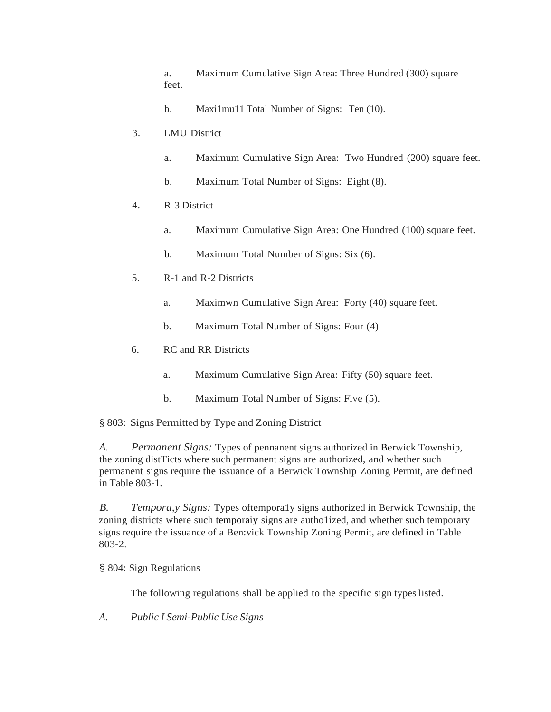a. Maximum Cumulative Sign Area: Three Hundred (300) square feet.

- b. Maxi1mu11 Total Number of Signs: Ten (10).
- 3. LMU District
	- a. Maximum Cumulative Sign Area: Two Hundred (200) square feet.
	- b. Maximum Total Number of Signs: Eight (8).
- 4. R-3 District
	- a. Maximum Cumulative Sign Area: One Hundred (100) square feet.
	- b. Maximum Total Number of Signs: Six (6).
- 5. R-1 and R-2 Districts
	- a. Maximwn Cumulative Sign Area: Forty (40) square feet.
	- b. Maximum Total Number of Signs: Four (4)
- 6. RC and RR Districts
	- a. Maximum Cumulative Sign Area: Fifty (50) square feet.
	- b. Maximum Total Number of Signs: Five (5).

§ 803: Signs Permitted by Type and Zoning District

*A. Permanent Signs:* Types of pennanent signs authorized in Berwick Township, the zoning distTicts where such permanent signs are authorized, and whether such permanent signs require the issuance of a Berwick Township Zoning Permit, are defined in Table 803-1.

*B. Tempora,y Signs:* Types oftempora1y signs authorized in Berwick Township, the zoning districts where such temporaiy signs are autho1ized, and whether such temporary signs require the issuance of a Ben:vick Township Zoning Permit, are defined in Table 803-2.

§ 804: Sign Regulations

The following regulations shall be applied to the specific sign types listed.

*A. Public I Semi-Public Use Signs*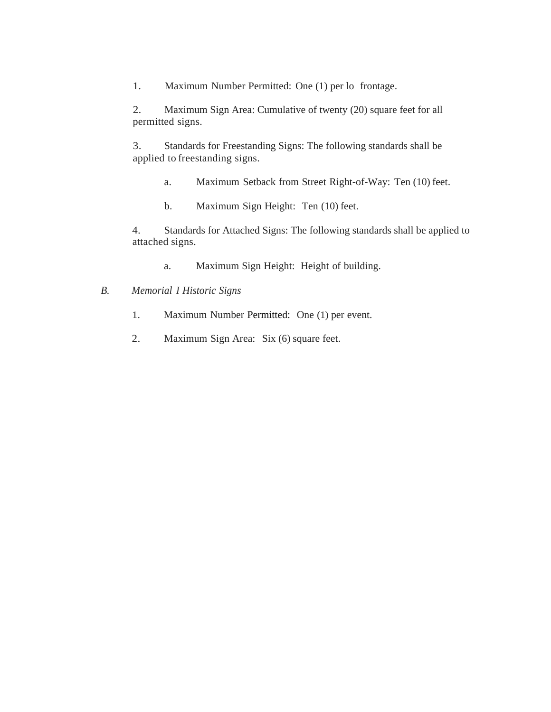1. Maximum Number Permitted: One (1) per lo frontage.

2. Maximum Sign Area: Cumulative of twenty (20) square feet for all permitted signs.

3. Standards for Freestanding Signs: The following standards shall be applied to freestanding signs.

- a. Maximum Setback from Street Right-of-Way: Ten (10) feet.
- b. Maximum Sign Height: Ten (10) feet.

4. Standards for Attached Signs: The following standards shall be applied to attached signs.

a. Maximum Sign Height: Height of building.

# *B. Memorial I Historic Signs*

- 1. Maximum Number Permitted: One (1) per event.
- 2. Maximum Sign Area: Six (6) square feet.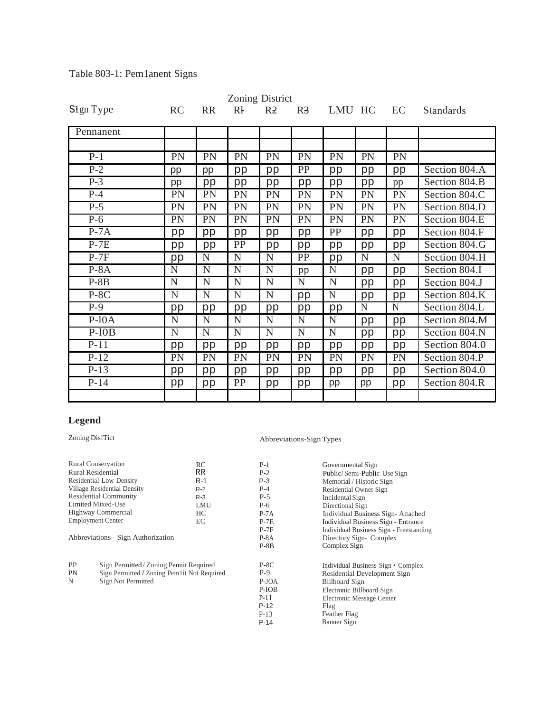| Zoning District        |           |             |                |                |                 |             |             |             |               |
|------------------------|-----------|-------------|----------------|----------------|-----------------|-------------|-------------|-------------|---------------|
| S <sub>1</sub> gn Type | <b>RC</b> | <b>RR</b>   | $R+$           | R <sub>2</sub> | R <sub>3</sub>  | LMU HC      |             | EC          | Standards     |
| Pennanent              |           |             |                |                |                 |             |             |             |               |
|                        |           |             |                |                |                 |             |             |             |               |
| $P-1$                  | <b>PN</b> | PN          | PN             | <b>PN</b>      | PN              | PN          | PN          | PN          |               |
| $P-2$                  | pp        | pp          | pp             | pp             | PP              | pp          | pp          | pp          | Section 804.A |
| $P-3$                  | pp        | pp          | pp             | pp             | pp              | pp          | pp          | pp          | Section 804.B |
| $P-4$                  | <b>PN</b> | PN          | PN             | <b>PN</b>      | PN              | PN          | PN          | PN          | Section 804.C |
| $P-5$                  | PN        | <b>PN</b>   | PN             | <b>PN</b>      | <b>PN</b>       | PN          | PN          | PN          | Section 804.D |
| $P-6$                  | PN        | PN          | PN             | <b>PN</b>      | PN              | PN          | PN          | PN          | Section 804.E |
| $P-7A$                 | pp        | pp          | pp             | pp             | pp              | PP          | pp          | pp          | Section 804.F |
| $P-7E$                 | pp        | pp          | PP             | pp             | pp              | pp          | pp          | pp          | Section 804.G |
| $P-7F$                 | pp        | $\mathbf N$ | $\overline{N}$ | $\overline{N}$ | $\overline{PP}$ | pp          | $\mathbf N$ | ${\bf N}$   | Section 804.H |
| $P-8A$                 | N         | N           | N              | $\overline{N}$ | pp              | N           | pp          | pp          | Section 804.I |
| $P-8B$                 | N         | N           | N              | N              | ${\bf N}$       | N           | pp          | pp          | Section 804.J |
| $P-8C$                 | N         | N           | N              | N              | pp              | $\mathbf N$ | pp          | pp          | Section 804.K |
| $P-9$                  | pp        | pp          | pp             | pp             | pp              | pp          | N           | $\mathbf N$ | Section 804.L |
| $P-10A$                | N         | $\mathbf N$ | N              | N              | N               | N           | pp          | pp          | Section 804.M |
| $P-10B$                | N         | N           | $\overline{N}$ | $\overline{N}$ | N               | N           | pp          | pp          | Section 804.N |
| $P-11$                 | pp        | pp          | pp             | pp             | pp              | pp          | pp          | pp          | Section 804.0 |
| $P-12$                 | PN        | PN          | PN             | <b>PN</b>      | <b>PN</b>       | PN          | <b>PN</b>   | PN          | Section 804.P |
| $P-13$                 | pp        | pp          | pp             | pp             | pp              | pp          | pp          | pp          | Section 804.0 |
| $P-14$                 | pp        | pp          | PP             | pp             | pp              | pp          | pp          | pp          | Section 804.R |
|                        |           |             |                |                |                 |             |             |             |               |

# Table 803-1: Pem1anent Signs

# **Legend**

# Zoning Dis!Tict Abbreviations-Sign Types

| Rural Conservation<br>Rural Residential<br>Residential Low Density<br>Village Residential Density<br><b>Residential Community</b><br>Limited Mixed-Use<br>Highway Commercial<br><b>Employment Center</b><br>Abbreviations - Sign Authorization | RC<br>RR.<br>$R-1$<br>$R-2$<br>$R-3$<br>LMU<br>HC<br>EC | $P-1$<br>$P-2$<br>$P-3$<br>$P-4$<br>$P-5$<br>$P-6$<br>$P-7A$<br>$P-7E$<br>$P-7F$<br>$P-8A$<br>$P-8B$ | Governmental Sign<br>Public/Semi-Public Use Sign<br>Memorial / Historic Sign<br>Residential Owner Sign<br>Incidental Sign<br>Directional Sign<br>Individual Business Sign-Attached<br>Individual Business Sign - Entrance<br>Individual Business Sign - Freestanding<br>Directory Sign-Complex<br>Complex Sign |
|------------------------------------------------------------------------------------------------------------------------------------------------------------------------------------------------------------------------------------------------|---------------------------------------------------------|------------------------------------------------------------------------------------------------------|----------------------------------------------------------------------------------------------------------------------------------------------------------------------------------------------------------------------------------------------------------------------------------------------------------------|
| <b>PP</b><br>Sign Permitted / Zoning Pennit Required<br>Sign Permitted / Zoning Pem1it Not Required<br><b>PN</b><br>N<br>Sign Not Permitted                                                                                                    |                                                         | $P-8C$<br>$P-9$<br>P-JOA<br>P-IOB<br>$P-1I$<br>$P-12$<br>$P-13$<br>$P-14$                            | Individual Business Sign • Complex<br>Residential Development Sign<br><b>Billboard Sign</b><br>Electronic Billboard Sign<br>Electronic Message Center<br>Flag<br>Feather Flag<br>Banner Sign                                                                                                                   |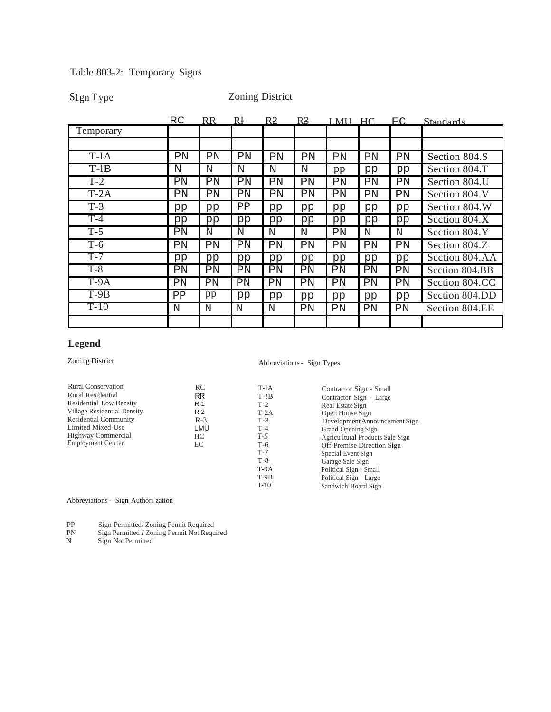# S1gn T ype Zoning District

|           | <b>RC</b> | <b>RR</b> | Rł | R <sub>2</sub> | R <sub>3</sub> | LMU | HC. | EC. | <b>Standards</b> |
|-----------|-----------|-----------|----|----------------|----------------|-----|-----|-----|------------------|
| Temporary |           |           |    |                |                |     |     |     |                  |
|           |           |           |    |                |                |     |     |     |                  |
| T-IA      | PN        | ΡN        | PN | PN             | PN             | PN  | PN  | PN  | Section 804.S    |
| $T-1B$    | N         | N         | N  | N              | $\mathbf N$    | pp  | pp  | pp  | Section 804.T    |
| $T-2$     | ΡN        | PN        | ΡN | PN             | PN             | PN  | PN  | PN  | Section 804.U    |
| $T-2A$    | PN        | ΡN        | ΡN | PN             | PN             | ΡN  | PN  | ΡN  | Section 804.V    |
| $T-3$     | pp        | pp        | ΡP | pp             | pp             | pp  | pp  | pp  | Section 804.W    |
| $T-4$     | pp        | pp        | pp | pp             | pp             | pp  | pp  | pp  | Section 804.X    |
| $T-5$     | ΡN        | N         | N  | N              | N              | ΡN  | N   | N   | Section 804.Y    |
| $T-6$     | PN        | PN        | PN | PN             | PN             | PN  | PN  | ΡN  | Section 804.Z    |
| $T-7$     | pp        | pp        | pp | pp             | pp             | pp  | pp  | pp  | Section 804.AA   |
| $T-8$     | ΡN        | ΡN        | ΡN | ΡN             | ΡN             | ΡN  | ΡN  | ΡN  | Section 804.BB   |
| $T-9A$    | ΡN        | ΡN        | PN | ΡN             | PN             | PN  | ΡN  | ΡN  | Section 804.CC   |
| $T-9B$    | PP        | pp        | pp | pp             | pp             | pp  | pp  | pp  | Section 804.DD   |
| $T-10$    | N         | N         | N  | N              | PN             | ΡN  | ΡN  | ΡN  | Section 804.EE   |
|           |           |           |    |                |                |     |     |     |                  |

# **Legend**

# Zoning District Abbreviations - Sign Types

| <b>Rural Conservation</b>    | RC        | T-IA   | Contractor Sign - Small          |
|------------------------------|-----------|--------|----------------------------------|
| Rural Residential            | <b>RR</b> | $T-!B$ | Contractor Sign - Large          |
| Residential Low Density      | $R-1$     | $T-2$  | Real Estate Sign                 |
| Village Residential Density  | $R-2$     | $T-2A$ | Open House Sign                  |
| <b>Residential Community</b> | $R-3$     | $T-3$  | Development Announcement Sign    |
| Limited Mixed-Use            | LMU       | $T-4$  | Grand Opening Sign               |
| Highway Commercial           | HC        | $T-5$  | Agricu Itural Products Sale Sign |
| Employment Center            | EС        | T-6    | Off-Premise Direction Sign       |
|                              |           | $T-7$  | Special Event Sign               |
|                              |           | $T-8$  | Garage Sale Sign                 |
|                              |           | $T-9A$ | Political Sign - Small           |
|                              |           | $T-9B$ | Political Sign - Large           |
|                              |           | $T-10$ | Sandwich Board Sign              |
|                              |           |        |                                  |

Abbreviations - Sign Authori zation

PP Sign Permitted/ Zoning Pennit Required

- PN Sign Permitted *I* Zoning Permit Not Required
- N Sign Not Permitted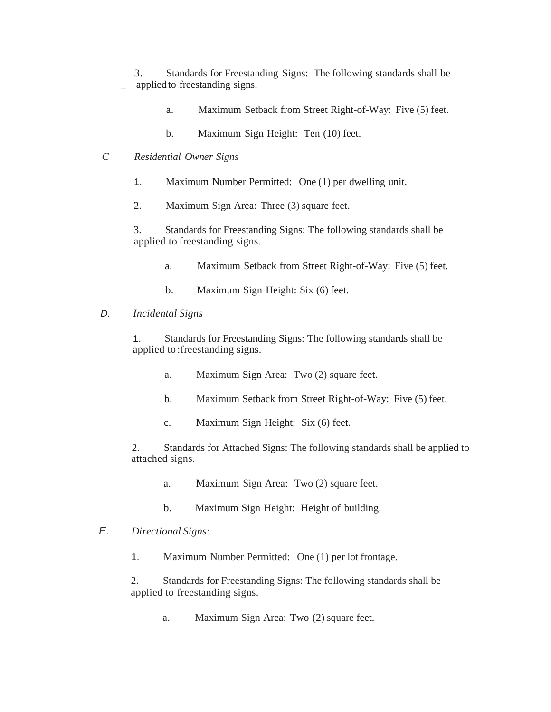3. Standards for Freestanding Signs: The following standards shall be applied to freestanding signs.

- a. Maximum Setback from Street Right-of-Way: Five (5) feet.
- b. Maximum Sign Height: Ten (10) feet.
- *C Residential Owner Signs*
	- 1. Maximum Number Permitted: One (1) per dwelling unit.
	- 2. Maximum Sign Area: Three (3) square feet.

3. Standards for Freestanding Signs: The following standards shall be applied to freestanding signs.

- a. Maximum Setback from Street Right-of-Way: Five (5) feet.
- b. Maximum Sign Height: Six (6) feet.

### *D. Incidental Signs*

1. Standards for Freestanding Signs: The following standards shall be applied to :freestanding signs.

- a. Maximum Sign Area: Two (2) square feet.
- b. Maximum Setback from Street Right-of-Way: Five (5) feet.
- c. Maximum Sign Height: Six (6) feet.

2. Standards for Attached Signs: The following standards shall be applied to attached signs.

- a. Maximum Sign Area: Two (2) square feet.
- b. Maximum Sign Height: Height of building.

# *E. Directional Signs:*

1. Maximum Number Permitted: One (1) per lot frontage.

2. Standards for Freestanding Signs: The following standards shall be applied to freestanding signs.

a. Maximum Sign Area: Two (2) square feet.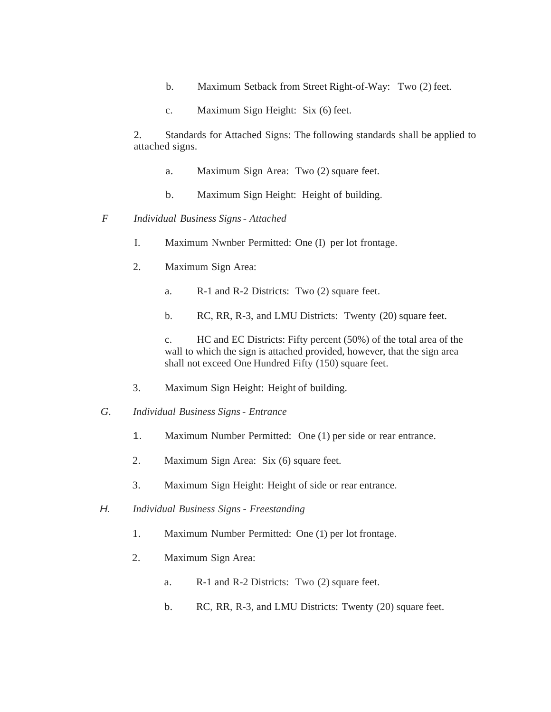- b. Maximum Setback from Street Right-of-Way: Two (2) feet.
- c. Maximum Sign Height: Six (6) feet.

2. Standards for Attached Signs: The following standards shall be applied to attached signs.

- a. Maximum Sign Area: Two (2) square feet.
- b. Maximum Sign Height: Height of building.
- *F Individual Business Signs Attached*
	- I. Maximum Nwnber Permitted: One (I) per lot frontage.
	- 2. Maximum Sign Area:
		- a. R-1 and R-2 Districts: Two (2) square feet.
		- b. RC, RR, R-3, and LMU Districts: Twenty (20) square feet.

c. HC and EC Districts: Fifty percent (50%) of the total area of the wall to which the sign is attached provided, however, that the sign area shall not exceed One Hundred Fifty (150) square feet.

- 3. Maximum Sign Height: Height of building.
- *G. Individual Business Signs Entrance* 
	- 1. Maximum Number Permitted: One (1) per side or rear entrance.
	- 2. Maximum Sign Area: Six (6) square feet.
	- 3. Maximum Sign Height: Height of side or rear entrance.
- *H. Individual Business Signs Freestanding*
	- 1. Maximum Number Permitted: One (1) per lot frontage.
	- 2. Maximum Sign Area:
		- a. R-1 and R-2 Districts: Two (2) square feet.
		- b. RC, RR, R-3, and LMU Districts: Twenty (20) square feet.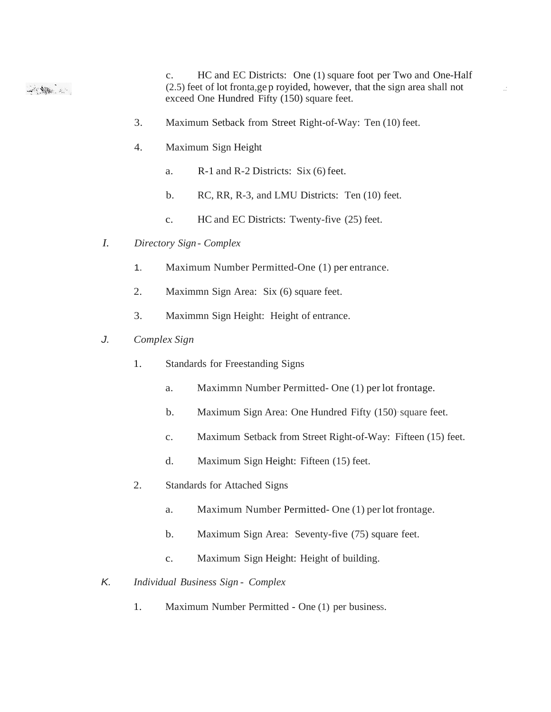c. HC and EC Districts: One (1) square foot per Two and One-Half (2.5) feet of lot fronta,ge p royided, however, that the sign area shall not *.:* 2010年11月 exceed One Hundred Fifty (150) square feet.

- 3. Maximum Setback from Street Right-of-Way: Ten (10) feet.
- 4. Maximum Sign Height
	- a. R-1 and R-2 Districts: Six (6) feet.
	- b. RC, RR, R-3, and LMU Districts: Ten (10) feet.
	- c. HC and EC Districts: Twenty-five (25) feet.
- *I. Directory Sign Complex*
	- 1. Maximum Number Permitted-One (1) per entrance.
	- 2. Maximmn Sign Area: Six (6) square feet.
	- 3. Maximmn Sign Height: Height of entrance.
- *J. Complex Sign*
	- 1. Standards for Freestanding Signs
		- a. Maximmn Number Permitted- One (1) per lot frontage.
		- b. Maximum Sign Area: One Hundred Fifty (150)·square feet.
		- c. Maximum Setback from Street Right-of-Way: Fifteen (15) feet.
		- d. Maximum Sign Height: Fifteen (15) feet.
	- 2. Standards for Attached Signs
		- a. Maximum Number Permitted- One (1) per lot frontage.
		- b. Maximum Sign Area: Seventy-five (75) square feet.
		- c. Maximum Sign Height: Height of building.
- *K. Individual Business Sign Complex*
	- 1. Maximum Number Permitted One (1) per business.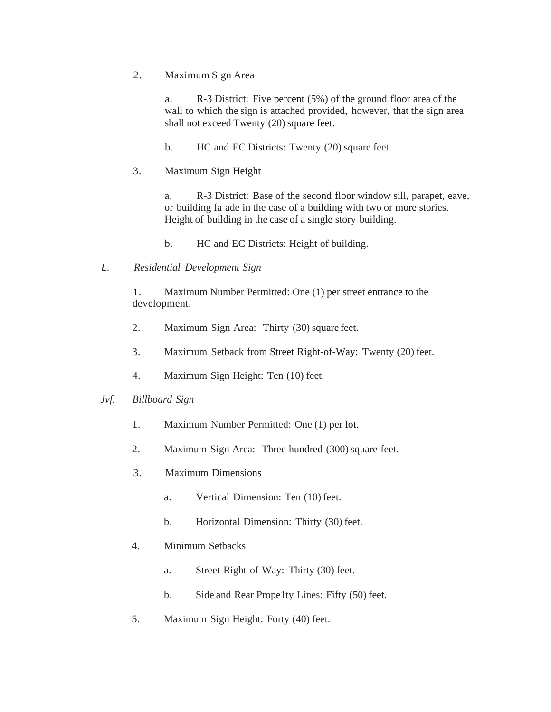2. Maximum Sign Area

a. R-3 District: Five percent (5%) of the ground floor area of the wall to which the sign is attached provided, however, that the sign area shall not exceed Twenty (20) square feet.

b. HC and EC Districts: Twenty (20) square feet.

3. Maximum Sign Height

a. R-3 District: Base of the second floor window sill, parapet, eave, or building fa ade in the case of a building with two or more stories. Height of building in the case of a single story building.

b. HC and EC Districts: Height of building.

*L. Residential Development Sign*

1. Maximum Number Permitted: One (1) per street entrance to the development.

- 2. Maximum Sign Area: Thirty (30) square feet.
- 3. Maximum Setback from Street Right-of-Way: Twenty (20) feet.
- 4. Maximum Sign Height: Ten (10) feet.

#### *Jvf. Billboard Sign*

- 1. Maximum Number Permitted: One (1) per lot.
- 2. Maximum Sign Area: Three hundred (300) square feet.
- 3. Maximum Dimensions
	- a. Vertical Dimension: Ten (10) feet.
	- b. Horizontal Dimension: Thirty (30) feet.
- 4. Minimum Setbacks
	- a. Street Right-of-Way: Thirty (30) feet.
	- b. Side and Rear Prope1ty Lines: Fifty (50) feet.
- 5. Maximum Sign Height: Forty (40) feet.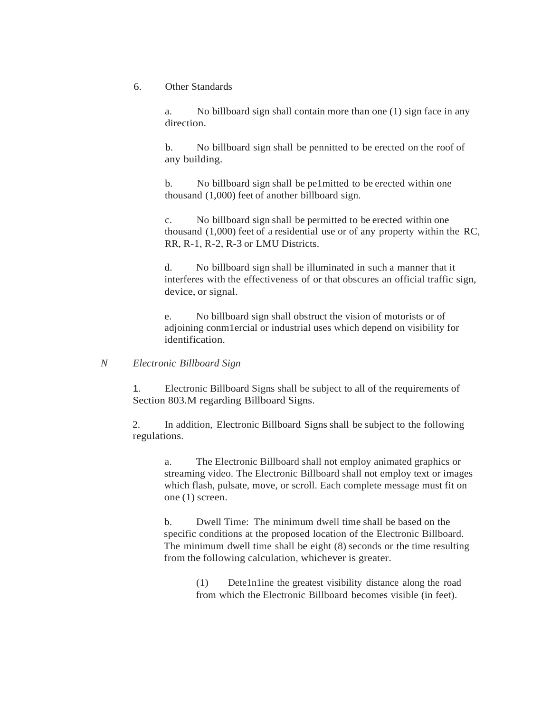### 6. Other Standards

a. No billboard sign shall contain more than one (1) sign face in any direction.

b. No billboard sign shall be pennitted to be erected on the roof of any building.

b. No billboard sign shall be pe1mitted to be erected within one thousand (1,000) feet of another billboard sign.

c. No billboard sign shall be permitted to be erected within one thousand (1,000) feet of a residential use or of any property within the RC, RR, R-1, R-2, R-3 or LMU Districts.

d. No billboard sign shall be illuminated in such a manner that it interferes with the effectiveness of or that obscures an official traffic sign, device, or signal.

e. No billboard sign shall obstruct the vision of motorists or of adjoining conm1ercial or industrial uses which depend on visibility for identification.

### *N Electronic Billboard Sign*

1. Electronic Billboard Signs shall be subject to all of the requirements of Section 803.M regarding Billboard Signs.

2. In addition, Electronic Billboard Signs shall be subject to the following regulations.

a. The Electronic Billboard shall not employ animated graphics or streaming video. The Electronic Billboard shall not employ text or images which flash, pulsate, move, or scroll. Each complete message must fit on one (1) screen.

b. Dwell Time: The minimum dwell time shall be based on the specific conditions at the proposed location of the Electronic Billboard. The minimum dwell time shall be eight (8) seconds or the time resulting from the following calculation, whichever is greater.

> (1) Dete1n1ine the greatest visibility distance along the road from which the Electronic Billboard becomes visible (in feet).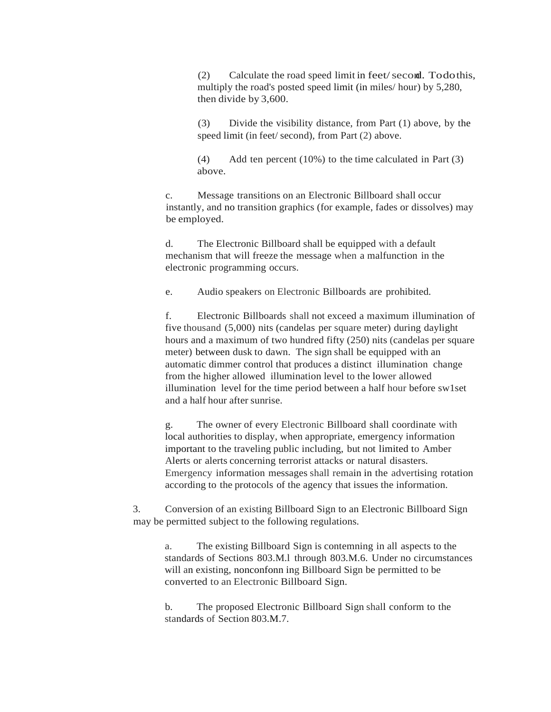(2) Calculate the road speed limit in feet/second. Todothis, multiply the road's posted speed limit (in miles/ hour) by 5,280, then divide by 3,600.

(3) Divide the visibility distance, from Part (1) above, by the speed limit (in feet/ second), from Part (2) above.

(4) Add ten percent (10%) to the time calculated in Part (3) above.

c. Message transitions on an Electronic Billboard shall occur instantly, and no transition graphics (for example, fades or dissolves) may be employed.

d. The Electronic Billboard shall be equipped with a default mechanism that will freeze the message when a malfunction in the electronic programming occurs.

e. Audio speakers on Electronic Billboards are prohibited.

f. Electronic Billboards shall not exceed a maximum illumination of five thousand (5,000) nits (candelas per square meter) during daylight hours and a maximum of two hundred fifty (250) nits (candelas per square meter) between dusk to dawn. The sign shall be equipped with an automatic dimmer control that produces a distinct illumination change from the higher allowed illumination level to the lower allowed illumination level for the time period between a half hour before sw1set and a half hour after sunrise.

g. The owner of every Electronic Billboard shall coordinate with local authorities to display, when appropriate, emergency information important to the traveling public including, but not limited to Amber Alerts or alerts concerning terrorist attacks or natural disasters. Emergency information messages shall remain in the advertising rotation according to the protocols of the agency that issues the information.

3. Conversion of an existing Billboard Sign to an Electronic Billboard Sign may be permitted subject to the following regulations.

a. The existing Billboard Sign is contemning in all aspects to the standards of Sections 803.M.l through 803.M.6. Under no circumstances will an existing, nonconfonn ing Billboard Sign be permitted to be converted to an Electronic Billboard Sign.

b. The proposed Electronic Billboard Sign shall conform to the standards of Section 803.M.7.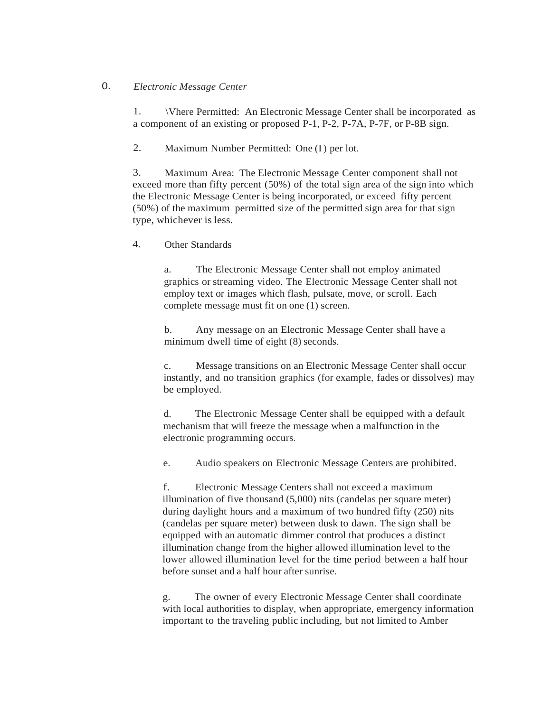# 0. *Electronic Message Center*

1. \Vhere Permitted: An Electronic Message Center shall be incorporated as a component of an existing or proposed P-1, P-2, P-7A, P-7F, or P-8B sign.

2. Maximum Number Permitted: One (I) per lot.

3. Maximum Area: The Electronic Message Center component shall not exceed more than fifty percent (50%) of the total sign area of the sign into which the Electronic Message Center is being incorporated, or exceed fifty percent (50%) of the maximum permitted size of the permitted sign area for that sign type, whichever is less.

4. Other Standards

a. The Electronic Message Center shall not employ animated graphics or streaming video. The Electronic Message Center shall not employ text or images which flash, pulsate, move, or scroll. Each complete message must fit on one (1) screen.

b. Any message on an Electronic Message Center shall have a minimum dwell time of eight (8) seconds.

c. Message transitions on an Electronic Message Center shall occur instantly, and no transition graphics (for example, fades or dissolves) may be employed.

d. The Electronic Message Center shall be equipped with a default mechanism that will freeze the message when a malfunction in the electronic programming occurs.

e. Audio speakers on Electronic Message Centers are prohibited.

f. Electronic Message Centers shall not exceed a maximum illumination of five thousand (5,000) nits (candelas per square meter) during daylight hours and a maximum of two hundred fifty (250) nits (candelas per square meter) between dusk to dawn. The sign shall be equipped with an automatic dimmer control that produces a distinct illumination change from the higher allowed illumination level to the lower allowed illumination level for the time period between a half hour before sunset and a half hour after sunrise.

g. The owner of every Electronic Message Center shall coordinate with local authorities to display, when appropriate, emergency information important to the traveling public including, but not limited to Amber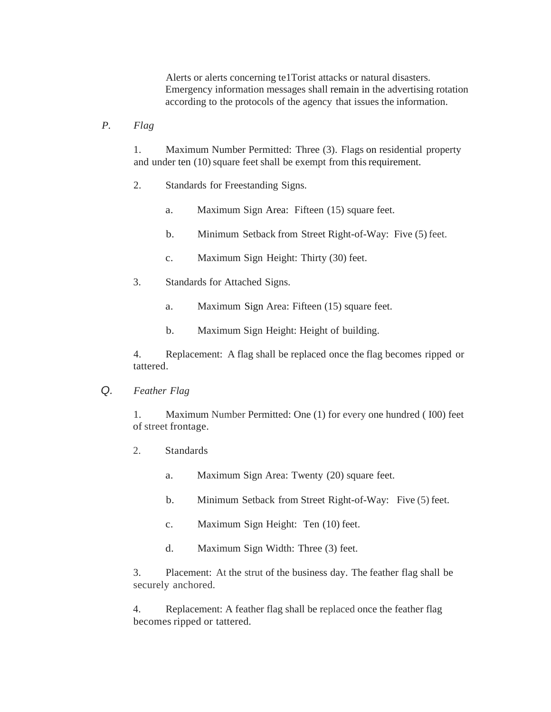Alerts or alerts concerning te1Torist attacks or natural disasters. Emergency information messages shall remain in the advertising rotation according to the protocols of the agency that issues the information.

*P. Flag*

1. Maximum Number Permitted: Three (3). Flags on residential property and under ten (10) square feet shall be exempt from this requirement.

- 2. Standards for Freestanding Signs.
	- a. Maximum Sign Area: Fifteen (15) square feet.
	- b. Minimum Setback from Street Right-of-Way: Five (5) feet.
	- c. Maximum Sign Height: Thirty (30) feet.
- 3. Standards for Attached Signs.
	- a. Maximum Sign Area: Fifteen (15) square feet.
	- b. Maximum Sign Height: Height of building.

4. Replacement: A flag shall be replaced once the flag becomes ripped or tattered.

*Q. Feather Flag*

1. Maximum Number Permitted: One (1) for every one hundred ( I00) feet of street frontage.

- 2. Standards
	- a. Maximum Sign Area: Twenty (20) square feet.
	- b. Minimum Setback from Street Right-of-Way: Five (5) feet.
	- c. Maximum Sign Height: Ten (10) feet.
	- d. Maximum Sign Width: Three (3) feet.

3. Placement: At the strut of the business day. The feather flag shall be securely anchored.

4. Replacement: A feather flag shall be replaced once the feather flag becomes ripped or tattered.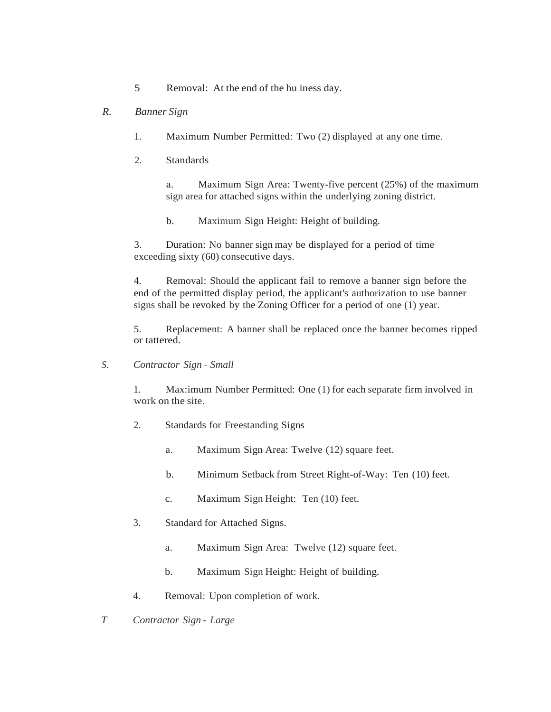5 Removal: At the end of the hu iness day.

# *R. Banner Sign*

- 1. Maximum Number Permitted: Two (2) displayed at any one time.
- 2. Standards

a. Maximum Sign Area: Twenty-five percent (25%) of the maximum sign area for attached signs within the underlying zoning district.

b. Maximum Sign Height: Height of building.

3. Duration: No banner sign may be displayed for a period of time exceeding sixty (60) consecutive days.

4. Removal: Should the applicant fail to remove a banner sign before the end of the permitted display period, the applicant's authorization to use banner signs shall be revoked by the Zoning Officer for a period of one (1) year.

5. Replacement: A banner shall be replaced once the banner becomes ripped or tattered.

*S. Contractor Sign* - *Small*

1. Max:imum Number Permitted: One (1) for each separate firm involved in work on the site.

- 2. Standards for Freestanding Signs
	- a. Maximum Sign Area: Twelve (12) square feet.
	- b. Minimum Setback from Street Right-of-Way: Ten (10) feet.
	- c. Maximum Sign Height: Ten (10) feet.
- 3. Standard for Attached Signs.
	- a. Maximum Sign Area: Twelve (12) square feet.
	- b. Maximum Sign Height: Height of building.
- 4. Removal: Upon completion of work.
- *T Contractor Sign Large*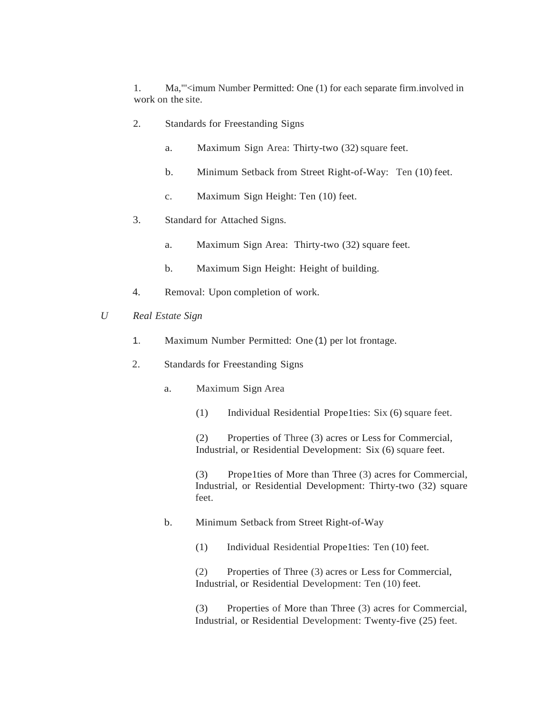1. Ma,"'<imum Number Permitted: One (1) for each separate firm.involved in work on the site.

- 2. Standards for Freestanding Signs
	- a. Maximum Sign Area: Thirty-two (32) square feet.
	- b. Minimum Setback from Street Right-of-Way: Ten (10) feet.
	- c. Maximum Sign Height: Ten (10) feet.
- 3. Standard for Attached Signs.
	- a. Maximum Sign Area: Thirty-two (32) square feet.
	- b. Maximum Sign Height: Height of building.
- 4. Removal: Upon completion of work.
- *U Real Estate Sign*
	- 1. Maximum Number Permitted: One (1) per lot frontage.
	- 2. Standards for Freestanding Signs
		- a. Maximum Sign Area
			- (1) Individual Residential Prope1ties: Six (6) square feet.

(2) Properties of Three (3) acres or Less for Commercial, Industrial, or Residential Development: Six (6) square feet.

(3) Prope1ties of More than Three (3) acres for Commercial, Industrial, or Residential Development: Thirty-two (32) square feet.

b. Minimum Setback from Street Right-of-Way

(1) Individual Residential Prope1ties: Ten (10) feet.

(2) Properties of Three (3) acres or Less for Commercial, Industrial, or Residential Development: Ten (10) feet.

(3) Properties of More than Three (3) acres for Commercial, Industrial, or Residential Development: Twenty-five (25) feet.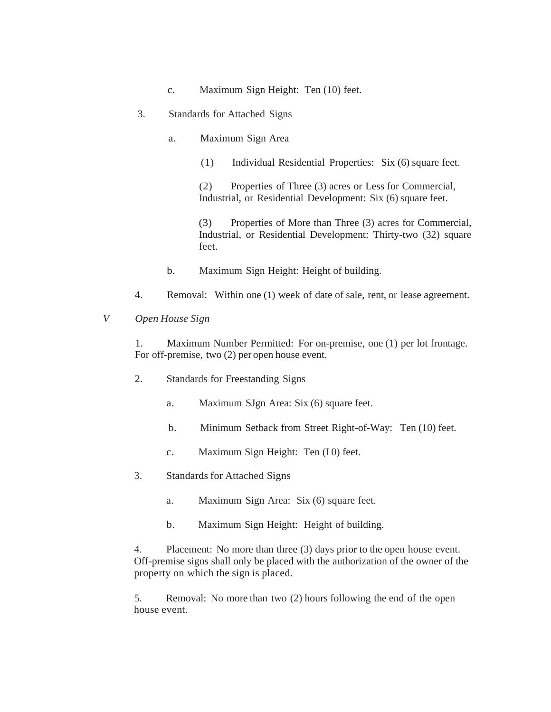- c. Maximum Sign Height: Ten (10) feet.
- 3. Standards for Attached Signs
	- a. Maximum Sign Area
		- (1) Individual Residential Properties: Six (6) square feet.

(2) Properties of Three (3) acres or Less for Commercial, Industrial, or Residential Development: Six (6) square feet.

(3) Properties of More than Three (3) acres for Commercial, Industrial, or Residential Development: Thirty-two (32) square feet.

- b. Maximum Sign Height: Height of building.
- 4. Removal: Within one (1) week of date of sale, rent, or lease agreement.
- *V Open House Sign*

1. Maximum Number Permitted: For on-premise, one (1) per lot frontage. For off-premise, two (2) per open house event.

- 2. Standards for Freestanding Signs
	- a. Maximum SJgn Area: Six (6) square feet.
	- b. Minimum Setback from Street Right-of-Way: Ten (10) feet.
	- c. Maximum Sign Height: Ten (I 0) feet.
- 3. Standards for Attached Signs
	- a. Maximum Sign Area: Six (6) square feet.
	- b. Maximum Sign Height: Height of building.

4. Placement: No more than three (3) days prior to the open house event. Off-premise signs shall only be placed with the authorization of the owner of the property on which the sign is placed.

5. Removal: No more than two (2) hours following the end of the open house event.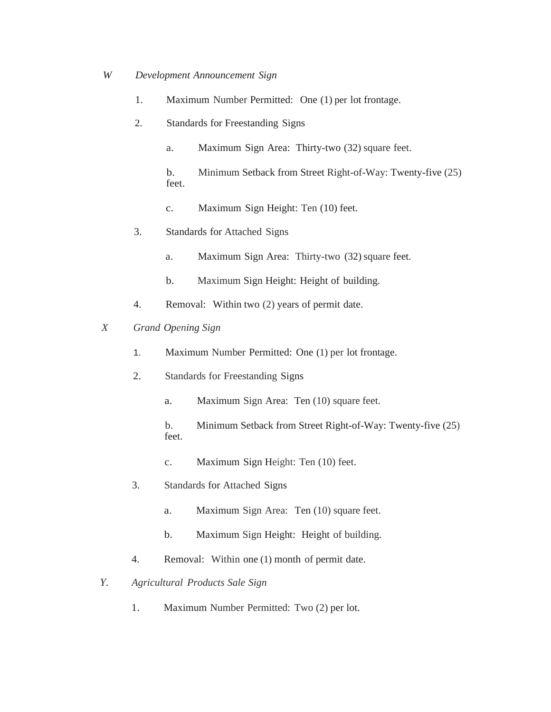- *W Development Announcement Sign* 
	- 1. Maximum Number Permitted: One (1) per lot frontage.
	- 2. Standards for Freestanding Signs
		- a. Maximum Sign Area: Thirty-two (32) square feet.
		- b. Minimum Setback from Street Right-of-Way: Twenty-five (25) feet.
		- c. Maximum Sign Height: Ten (10) feet.
	- 3. Standards for Attached Signs
		- a. Maximum Sign Area: Thirty-two (32) square feet.
		- b. Maximum Sign Height: Height of building.
	- 4. Removal: Within two (2) years of permit date.
- *X Grand Opening Sign* 
	- 1. Maximum Number Permitted: One (1) per lot frontage.
	- 2. Standards for Freestanding Signs
		- a. Maximum Sign Area: Ten (10) square feet.
		- b. Minimum Setback from Street Right-of-Way: Twenty-five (25) feet.
		- c. Maximum Sign Height: Ten (10) feet.
	- 3. Standards for Attached Signs
		- a. Maximum Sign Area: Ten (10) square feet.
		- b. Maximum Sign Height: Height of building.
	- 4. Removal: Within one (1) month of permit date.
- *Y. Agricultural Products Sale Sign*
	- 1. Maximum Number Permitted: Two (2) per lot.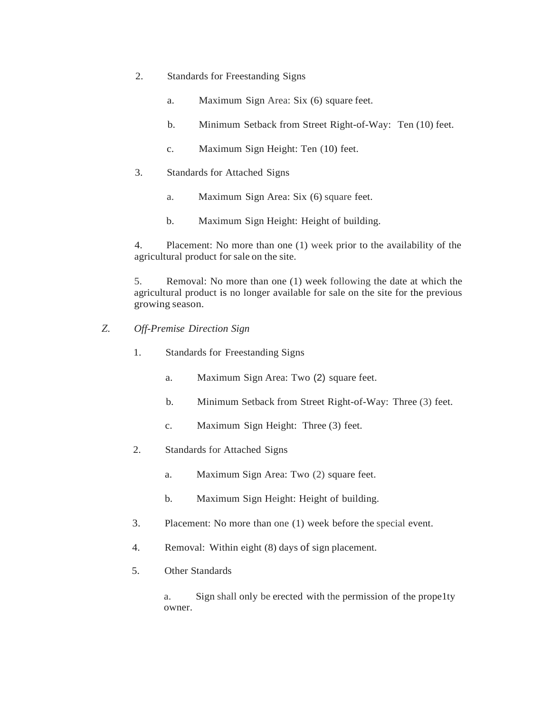- 2. Standards for Freestanding Signs
	- a. Maximum Sign Area: Six (6) square feet.
	- b. Minimum Setback from Street Right-of-Way: Ten (10) feet.
	- c. Maximum Sign Height: Ten (10) feet.
- 3. Standards for Attached Signs
	- a. Maximum Sign Area: Six (6) square feet.
	- b. Maximum Sign Height: Height of building.

4. Placement: No more than one (1) week prior to the availability of the agricultural product for sale on the site.

5. Removal: No more than one (1) week following the date at which the agricultural product is no longer available for sale on the site for the previous growing season.

- *Z. Off-Premise Direction Sign*
	- 1. Standards for Freestanding Signs
		- a. Maximum Sign Area: Two (2) square feet.
		- b. Minimum Setback from Street Right-of-Way: Three (3) feet.
		- c. Maximum Sign Height: Three (3) feet.
	- 2. Standards for Attached Signs
		- a. Maximum Sign Area: Two (2) square feet.
		- b. Maximum Sign Height: Height of building.
	- 3. Placement: No more than one (1) week before the special event.
	- 4. Removal: Within eight (8) days of sign placement.
	- 5. Other Standards

a. Sign shall only be erected with the permission of the prope1ty owner.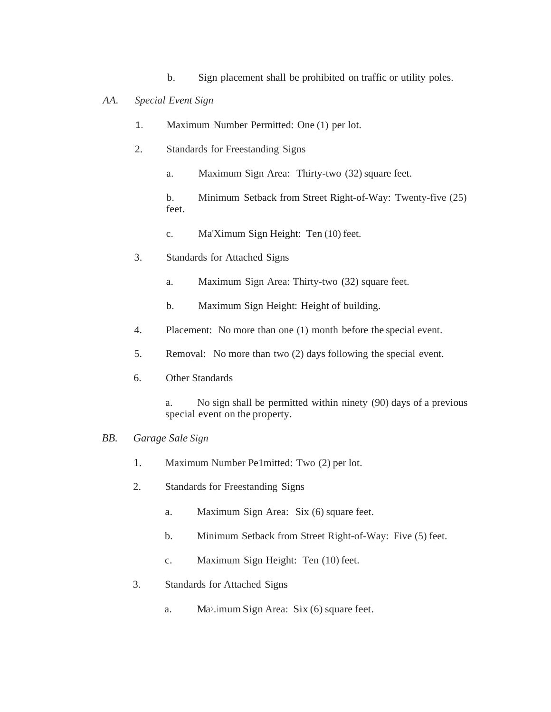b. Sign placement shall be prohibited on traffic or utility poles.

### *AA. Special Event Sign*

- 1. Maximum Number Permitted: One (1) per lot.
- 2. Standards for Freestanding Signs
	- a. Maximum Sign Area: Thirty-two (32) square feet.

b. Minimum Setback from Street Right-of-Way: Twenty-five (25) feet.

- c. Ma'Ximum Sign Height: Ten (10) feet.
- 3. Standards for Attached Signs
	- a. Maximum Sign Area: Thirty-two (32) square feet.
	- b. Maximum Sign Height: Height of building.
- 4. Placement: No more than one (1) month before the special event.
- 5. Removal: No more than two (2) days following the special event.
- 6. Other Standards
	- a. No sign shall be permitted within ninety (90) days of a previous special event on the property.

### *BB. Garage Sale Sign*

- 1. Maximum Number Pe1mitted: Two (2) per lot.
- 2. Standards for Freestanding Signs
	- a. Maximum Sign Area: Six (6) square feet.
	- b. Minimum Setback from Street Right-of-Way: Five (5) feet.
	- c. Maximum Sign Height: Ten (10) feet.
- 3. Standards for Attached Signs
	- a. Maximum Sign Area: Six (6) square feet.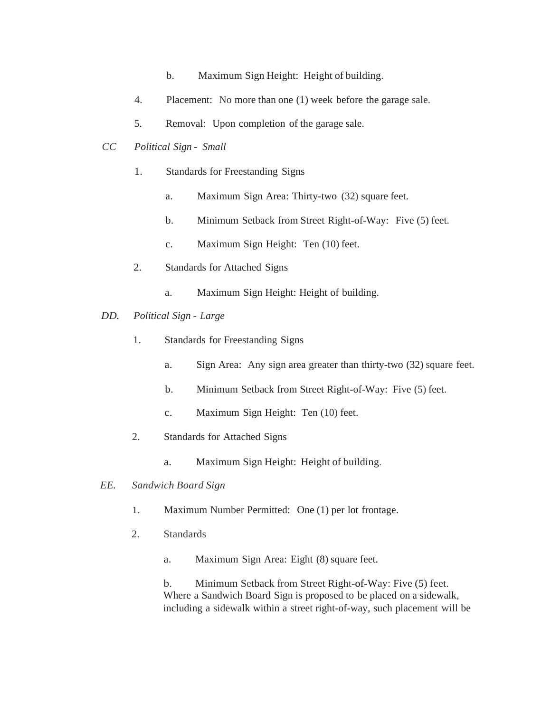- b. Maximum Sign Height: Height of building.
- 4. Placement: No more than one (1) week before the garage sale.
- 5. Removal: Upon completion of the garage sale.
- *CC Political Sign Small*
	- 1. Standards for Freestanding Signs
		- a. Maximum Sign Area: Thirty-two (32) square feet.
		- b. Minimum Setback from Street Right-of-Way: Five (5) feet.
		- c. Maximum Sign Height: Ten (10) feet.
	- 2. Standards for Attached Signs
		- a. Maximum Sign Height: Height of building.
- *DD. Political Sign Large*
	- 1. Standards for Freestanding Signs
		- a. Sign Area: Any sign area greater than thirty-two (32) square feet.
		- b. Minimum Setback from Street Right-of-Way: Five (5) feet.
		- c. Maximum Sign Height: Ten (10) feet.
	- 2. Standards for Attached Signs
		- a. Maximum Sign Height: Height of building.
- *EE. Sandwich Board Sign*
	- 1. Maximum Number Permitted: One (1) per lot frontage.
	- 2. Standards
		- a. Maximum Sign Area: Eight (8) square feet.

b. Minimum Setback from Street Right-of-Way: Five (5) feet. Where a Sandwich Board Sign is proposed to be placed on a sidewalk, including a sidewalk within a street right-of-way, such placement will be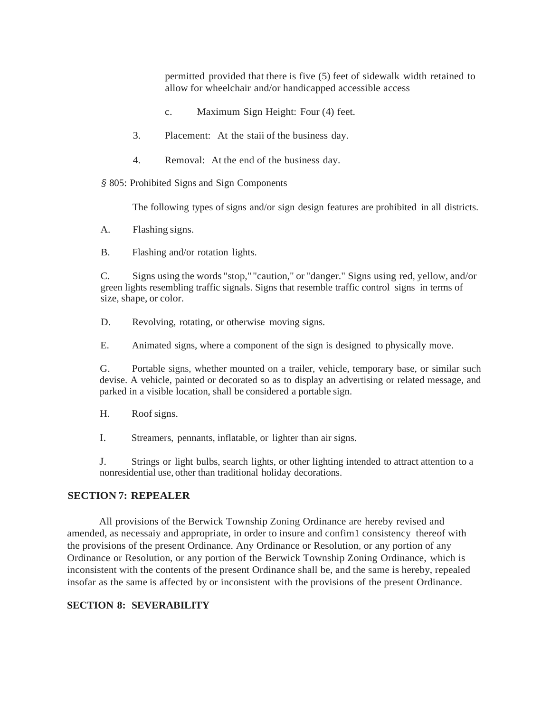permitted provided that there is five (5) feet of sidewalk width retained to allow for wheelchair and/or handicapped accessible access

- c. Maximum Sign Height: Four (4) feet.
- 3. Placement: At the staii of the business day.
- 4. Removal: At the end of the business day.

*§* 805: Prohibited Signs and Sign Components

The following types of signs and/or sign design features are prohibited in all districts.

A. Flashing signs.

B. Flashing and/or rotation lights.

C. Signs using the words "stop," "caution," or "danger." Signs using red, yellow, and/or green lights resembling traffic signals. Signs that resemble traffic control signs in terms of size, shape, or color.

- D. Revolving, rotating, or otherwise moving signs.
- E. Animated signs, where a component of the sign is designed to physically move.

G. Portable signs, whether mounted on a trailer, vehicle, temporary base, or similar such devise. A vehicle, painted or decorated so as to display an advertising or related message, and parked in a visible location, shall be considered a portable sign.

H. Roof signs.

I. Streamers, pennants, inflatable, or lighter than air signs.

J. Strings or light bulbs, search lights, or other lighting intended to attract attention to a nonresidential use, other than traditional holiday decorations.

# **SECTION 7: REPEALER**

All provisions of the Berwick Township Zoning Ordinance are hereby revised and amended, as necessaiy and appropriate, in order to insure and confim1 consistency thereof with the provisions of the present Ordinance. Any Ordinance or Resolution, or any portion of any Ordinance or Resolution, or any portion of the Berwick Township Zoning Ordinance, which is inconsistent with the contents of the present Ordinance shall be, and the same is hereby, repealed insofar as the same is affected by or inconsistent with the provisions of the present Ordinance.

# **SECTION 8: SEVERABILITY**